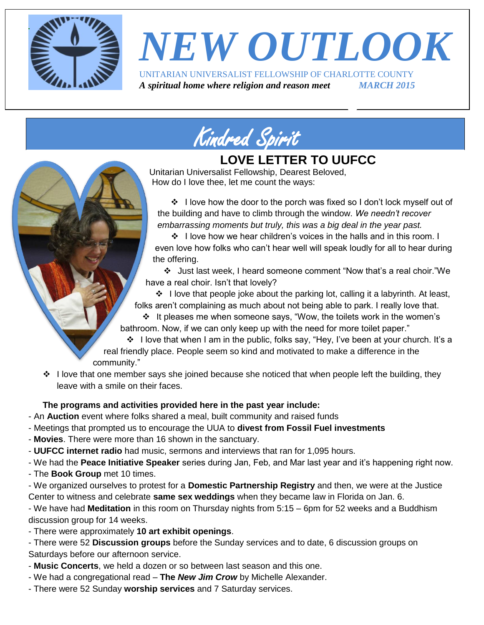

# *NEW OUTLOOK*

UNITARIAN UNIVERSALIST FELLOWSHIP OF CHARLOTTE COUNTY *A spiritual home where religion and reason meet MARCH 2015*



### **LOVE LETTER TO UUFCC**

Unitarian Universalist Fellowship, Dearest Beloved, How do I love thee, let me count the ways:

❖ I love how the door to the porch was fixed so I don't lock myself out of the building and have to climb through the window. *We needn't recover embarrassing moments but truly, this was a big deal in the year past.*

 $\div$  I love how we hear children's voices in the halls and in this room. I even love how folks who can't hear well will speak loudly for all to hear during the offering.

 Just last week, I heard someone comment "Now that's a real choir."We have a real choir. Isn't that lovely?

• I love that people joke about the parking lot, calling it a labyrinth. At least, folks aren't complaining as much about not being able to park. I really love that.

 $\div$  It pleases me when someone says, "Wow, the toilets work in the women's bathroom. Now, if we can only keep up with the need for more toilet paper."

❖ I love that when I am in the public, folks say, "Hey, I've been at your church. It's a real friendly place. People seem so kind and motivated to make a difference in the community."

 $\div$  I love that one member says she joined because she noticed that when people left the building, they leave with a smile on their faces.

#### **The programs and activities provided here in the past year include:**

- An **Auction** event where folks shared a meal, built community and raised funds
- Meetings that prompted us to encourage the UUA to **divest from Fossil Fuel investments**
- **Movies**. There were more than 16 shown in the sanctuary.
- **UUFCC internet radio** had music, sermons and interviews that ran for 1,095 hours.
- We had the **Peace Initiative Speaker** series during Jan, Feb, and Mar last year and it's happening right now.
- The **Book Group** met 10 times.

- We organized ourselves to protest for a **Domestic Partnership Registry** and then, we were at the Justice Center to witness and celebrate **same sex weddings** when they became law in Florida on Jan. 6.

- We have had **Meditation** in this room on Thursday nights from 5:15 – 6pm for 52 weeks and a Buddhism discussion group for 14 weeks.

- There were approximately **10 art exhibit openings**.

- There were 52 **Discussion groups** before the Sunday services and to date, 6 discussion groups on Saturdays before our afternoon service.

- **Music Concerts**, we held a dozen or so between last season and this one.
- We had a congregational read **The** *New Jim Crow* by Michelle Alexander.
- There were 52 Sunday **worship services** and 7 Saturday services.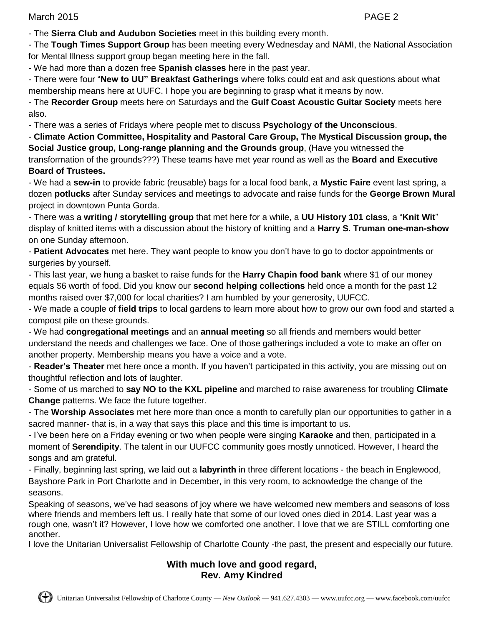March 2015 PAGE 2

- The **Sierra Club and Audubon Societies** meet in this building every month.

- The **Tough Times Support Group** has been meeting every Wednesday and NAMI, the National Association for Mental Illness support group began meeting here in the fall.

- We had more than a dozen free **Spanish classes** here in the past year.

- There were four "**New to UU" Breakfast Gatherings** where folks could eat and ask questions about what membership means here at UUFC. I hope you are beginning to grasp what it means by now.

- The **Recorder Group** meets here on Saturdays and the **Gulf Coast Acoustic Guitar Society** meets here also.

- There was a series of Fridays where people met to discuss **Psychology of the Unconscious**.

- **Climate Action Committee, Hospitality and Pastoral Care Group, The Mystical Discussion group, the Social Justice group, Long-range planning and the Grounds group**, (Have you witnessed the transformation of the grounds???) These teams have met year round as well as the **Board and Executive Board of Trustees.**

- We had a **sew-in** to provide fabric (reusable) bags for a local food bank, a **Mystic Faire** event last spring, a dozen **potlucks** after Sunday services and meetings to advocate and raise funds for the **George Brown Mural** project in downtown Punta Gorda.

- There was a **writing / storytelling group** that met here for a while, a **UU History 101 class**, a "**Knit Wit**" display of knitted items with a discussion about the history of knitting and a **Harry S. Truman one-man-show** on one Sunday afternoon.

- **Patient Advocates** met here. They want people to know you don't have to go to doctor appointments or surgeries by yourself.

- This last year, we hung a basket to raise funds for the **Harry Chapin food bank** where \$1 of our money equals \$6 worth of food. Did you know our **second helping collections** held once a month for the past 12 months raised over \$7,000 for local charities? I am humbled by your generosity, UUFCC.

- We made a couple of **field trips** to local gardens to learn more about how to grow our own food and started a compost pile on these grounds.

- We had **congregational meetings** and an **annual meeting** so all friends and members would better understand the needs and challenges we face. One of those gatherings included a vote to make an offer on another property. Membership means you have a voice and a vote.

- **Reader's Theater** met here once a month. If you haven't participated in this activity, you are missing out on thoughtful reflection and lots of laughter.

- Some of us marched to **say NO to the KXL pipeline** and marched to raise awareness for troubling **Climate Change** patterns. We face the future together.

- The **Worship Associates** met here more than once a month to carefully plan our opportunities to gather in a sacred manner- that is, in a way that says this place and this time is important to us.

- I've been here on a Friday evening or two when people were singing **Karaoke** and then, participated in a moment of **Serendipity**. The talent in our UUFCC community goes mostly unnoticed. However, I heard the songs and am grateful.

- Finally, beginning last spring, we laid out a **labyrinth** in three different locations - the beach in Englewood, Bayshore Park in Port Charlotte and in December, in this very room, to acknowledge the change of the seasons.

Speaking of seasons, we've had seasons of joy where we have welcomed new members and seasons of loss where friends and members left us. I really hate that some of our loved ones died in 2014. Last year was a rough one, wasn't it? However, I love how we comforted one another. I love that we are STILL comforting one another.

I love the Unitarian Universalist Fellowship of Charlotte County -the past, the present and especially our future.

#### **With much love and good regard, Rev. Amy Kindred**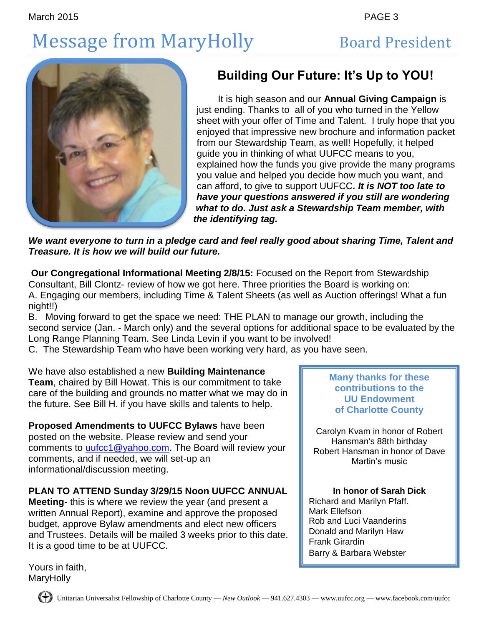# Message from MaryHolly Board President



### **Building Our Future: It's Up to YOU!**

 It is high season and our **Annual Giving Campaign** is just ending. Thanks to all of you who turned in the Yellow sheet with your offer of Time and Talent. I truly hope that you enjoyed that impressive new brochure and information packet from our Stewardship Team, as well! Hopefully, it helped guide you in thinking of what UUFCC means to you, explained how the funds you give provide the many programs you value and helped you decide how much you want, and can afford, to give to support UUFCC*. It is NOT too late to have your questions answered if you still are wondering what to do. Just ask a Stewardship Team member, with the identifying tag.*

*We want everyone to turn in a pledge card and feel really good about sharing Time, Talent and Treasure. It is how we will build our future.* 

**Our Congregational Informational Meeting 2/8/15:** Focused on the Report from Stewardship Consultant, Bill Clontz- review of how we got here. Three priorities the Board is working on: A. Engaging our members, including Time & Talent Sheets (as well as Auction offerings! What a fun night!!)

B. Moving forward to get the space we need: THE PLAN to manage our growth, including the second service (Jan. - March only) and the several options for additional space to be evaluated by the Long Range Planning Team. See Linda Levin if you want to be involved!

C. The Stewardship Team who have been working very hard, as you have seen.

We have also established a new **Building Maintenance Team**, chaired by Bill Howat. This is our commitment to take care of the building and grounds no matter what we may do in the future. See Bill H. if you have skills and talents to help.

**Proposed Amendments to UUFCC Bylaws** have been posted on the website. Please review and send your comments to *uufcc1@yahoo.com*. The Board will review your comments, and if needed, we will set-up an informational/discussion meeting.

### **PLAN TO ATTEND Sunday 3/29/15 Noon UUFCC ANNUAL**

**Meeting-** this is where we review the year (and present a written Annual Report), examine and approve the proposed budget, approve Bylaw amendments and elect new officers and Trustees. Details will be mailed 3 weeks prior to this date. It is a good time to be at UUFCC.

**Many thanks for these contributions to the UU Endowment of Charlotte County**

Carolyn Kvam in honor of Robert Hansman's 88th birthday Robert Hansman in honor of Dave Martin's music

#### **In honor of Sarah Dick**

Richard and Marilyn Pfaff. Mark Ellefson Rob and Luci Vaanderins Donald and Marilyn Haw Frank Girardin Barry & Barbara Webster

Yours in faith, MaryHolly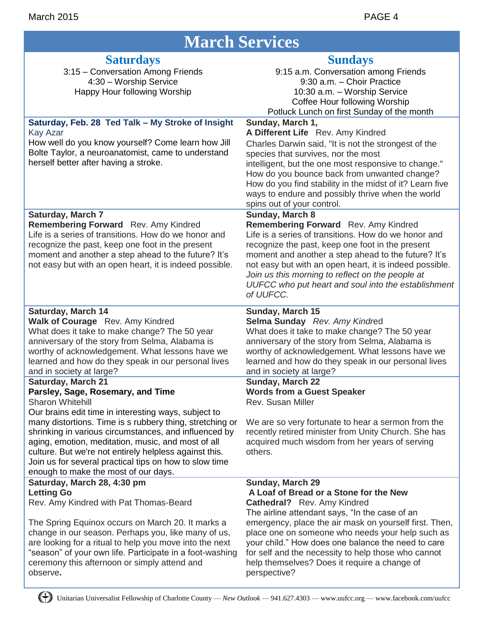| <b>March Services</b>                                                                                                                                                                                                                                                                                                                                                                                                                                                                    |                                                                                                                                                                                                                                                                                                                                                                                                                                                      |
|------------------------------------------------------------------------------------------------------------------------------------------------------------------------------------------------------------------------------------------------------------------------------------------------------------------------------------------------------------------------------------------------------------------------------------------------------------------------------------------|------------------------------------------------------------------------------------------------------------------------------------------------------------------------------------------------------------------------------------------------------------------------------------------------------------------------------------------------------------------------------------------------------------------------------------------------------|
| <b>Saturdays</b><br>3:15 - Conversation Among Friends<br>4:30 - Worship Service<br>Happy Hour following Worship                                                                                                                                                                                                                                                                                                                                                                          | <b>Sundays</b><br>9:15 a.m. Conversation among Friends<br>9:30 a.m. - Choir Practice<br>10:30 a.m. - Worship Service<br>Coffee Hour following Worship<br>Potluck Lunch on first Sunday of the month                                                                                                                                                                                                                                                  |
| Saturday, Feb. 28 Ted Talk - My Stroke of Insight<br><b>Kay Azar</b><br>How well do you know yourself? Come learn how Jill<br>Bolte Taylor, a neuroanatomist, came to understand<br>herself better after having a stroke.                                                                                                                                                                                                                                                                | Sunday, March 1,<br>A Different Life Rev. Amy Kindred<br>Charles Darwin said, "It is not the strongest of the<br>species that survives, nor the most<br>intelligent, but the one most responsive to change."<br>How do you bounce back from unwanted change?<br>How do you find stability in the midst of it? Learn five<br>ways to endure and possibly thrive when the world<br>spins out of your control.                                          |
| <b>Saturday, March 7</b><br>Remembering Forward Rev. Amy Kindred<br>Life is a series of transitions. How do we honor and<br>recognize the past, keep one foot in the present<br>moment and another a step ahead to the future? It's<br>not easy but with an open heart, it is indeed possible.                                                                                                                                                                                           | Sunday, March 8<br>Remembering Forward Rev. Amy Kindred<br>Life is a series of transitions. How do we honor and<br>recognize the past, keep one foot in the present<br>moment and another a step ahead to the future? It's<br>not easy but with an open heart, it is indeed possible.<br>Join us this morning to reflect on the people at<br>UUFCC who put heart and soul into the establishment<br>of UUFCC.                                        |
| <b>Saturday, March 14</b><br>Walk of Courage Rev. Amy Kindred<br>What does it take to make change? The 50 year<br>anniversary of the story from Selma, Alabama is<br>worthy of acknowledgement. What lessons have we<br>learned and how do they speak in our personal lives<br>and in society at large?                                                                                                                                                                                  | Sunday, March 15<br>Selma Sunday Rev. Amy Kindred<br>What does it take to make change? The 50 year<br>anniversary of the story from Selma, Alabama is<br>worthy of acknowledgement. What lessons have we<br>learned and how do they speak in our personal lives<br>and in society at large?                                                                                                                                                          |
| <b>Saturday, March 21</b><br>Parsley, Sage, Rosemary, and Time<br><b>Sharon Whitehill</b><br>Our brains edit time in interesting ways, subject to<br>many distortions. Time is s rubbery thing, stretching or<br>shrinking in various circumstances, and influenced by<br>aging, emotion, meditation, music, and most of all<br>culture. But we're not entirely helpless against this.<br>Join us for several practical tips on how to slow time<br>enough to make the most of our days. | Sunday, March 22<br><b>Words from a Guest Speaker</b><br>Rev. Susan Miller<br>We are so very fortunate to hear a sermon from the<br>recently retired minister from Unity Church. She has<br>acquired much wisdom from her years of serving<br>others.                                                                                                                                                                                                |
| Saturday, March 28, 4:30 pm<br><b>Letting Go</b><br>Rev. Amy Kindred with Pat Thomas-Beard<br>The Spring Equinox occurs on March 20. It marks a<br>change in our season. Perhaps you, like many of us,<br>are looking for a ritual to help you move into the next<br>"season" of your own life. Participate in a foot-washing<br>ceremony this afternoon or simply attend and<br>observe.                                                                                                | <b>Sunday, March 29</b><br>A Loaf of Bread or a Stone for the New<br><b>Cathedral?</b> Rev. Amy Kindred<br>The airline attendant says, "In the case of an<br>emergency, place the air mask on yourself first. Then,<br>place one on someone who needs your help such as<br>your child." How does one balance the need to care<br>for self and the necessity to help those who cannot<br>help themselves? Does it require a change of<br>perspective? |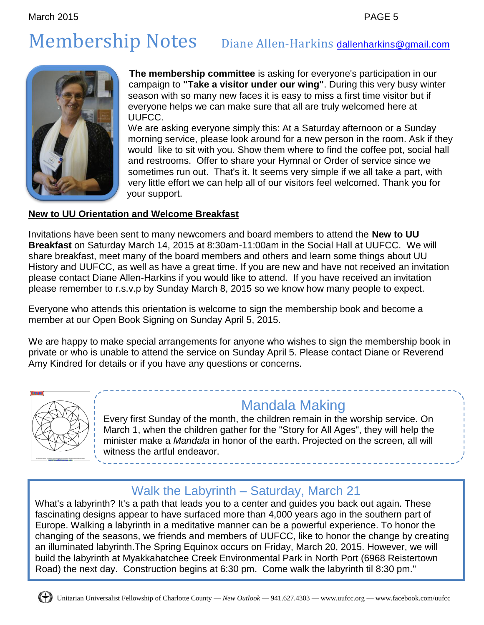### Membership Notes Diane Allen-Harkins [dallenharkins@gmail.com](mailto:dallenharkins@gmail.com)



**The membership committee** is asking for everyone's participation in our campaign to **"Take a visitor under our wing"**. During this very busy winter season with so many new faces it is easy to miss a first time visitor but if everyone helps we can make sure that all are truly welcomed here at UUFCC.

We are asking everyone simply this: At a Saturday afternoon or a Sunday morning service, please look around for a new person in the room. Ask if they would like to sit with you. Show them where to find the coffee pot, social hall and restrooms. Offer to share your Hymnal or Order of service since we sometimes run out. That's it. It seems very simple if we all take a part, with very little effort we can help all of our visitors feel welcomed. Thank you for your support.

#### **New to UU Orientation and Welcome Breakfast**

Invitations have been sent to many newcomers and board members to attend the **New to UU Breakfast** on Saturday March 14, 2015 at 8:30am-11:00am in the Social Hall at UUFCC. We will share breakfast, meet many of the board members and others and learn some things about UU History and UUFCC, as well as have a great time. If you are new and have not received an invitation please contact Diane Allen-Harkins if you would like to attend. If you have received an invitation please remember to r.s.v.p by Sunday March 8, 2015 so we know how many people to expect.

Everyone who attends this orientation is welcome to sign the membership book and become a member at our Open Book Signing on Sunday April 5, 2015.

We are happy to make special arrangements for anyone who wishes to sign the membership book in private or who is unable to attend the service on Sunday April 5. Please contact Diane or Reverend Amy Kindred for details or if you have any questions or concerns.



### Mandala Making

Every first Sunday of the month, the children remain in the worship service. On March 1, when the children gather for the "Story for All Ages", they will help the minister make a *Mandala* in honor of the earth. Projected on the screen, all will witness the artful endeavor.

### Walk the Labyrinth – Saturday, March 21

What's a labyrinth? It's a path that leads you to a center and guides you back out again. These fascinating designs appear to have surfaced more than 4,000 years ago in the southern part of Europe. Walking a labyrinth in a meditative manner can be a powerful experience. To honor the changing of the seasons, we friends and members of UUFCC, like to honor the change by creating an illuminated labyrinth.The Spring Equinox occurs on Friday, March 20, 2015. However, we will build the labyrinth at Myakkahatchee Creek Environmental Park in North Port (6968 Reistertown Road) the next day. Construction begins at 6:30 pm. Come walk the labyrinth til 8:30 pm."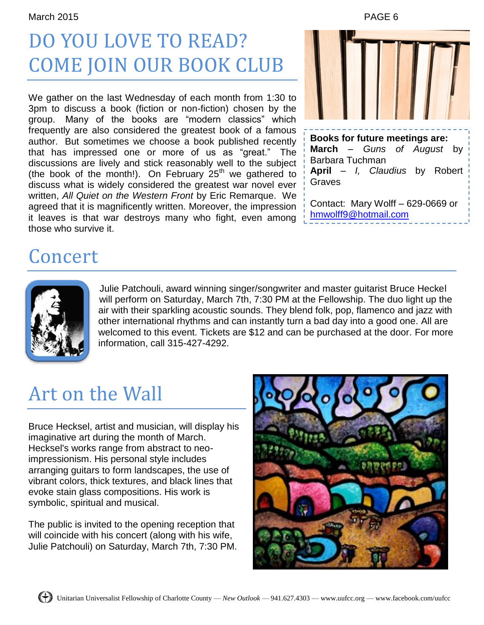### DO YOU LOVE TO READ? COME JOIN OUR BOOK CLUB

We gather on the last Wednesday of each month from 1:30 to 3pm to discuss a book (fiction or non-fiction) chosen by the group. Many of the books are "modern classics" which frequently are also considered the greatest book of a famous author. But sometimes we choose a book published recently that has impressed one or more of us as "great." The discussions are lively and stick reasonably well to the subject (the book of the month!). On February  $25<sup>th</sup>$  we gathered to discuss what is widely considered the greatest war novel ever written, *All Quiet on the Western Front* by Eric Remarque. We agreed that it is magnificently written. Moreover, the impression it leaves is that war destroys many who fight, even among those who survive it.



### Concert



Julie Patchouli, award winning singer/songwriter and master guitarist Bruce Heckel will perform on Saturday, March 7th, 7:30 PM at the Fellowship. The duo light up the air with their sparkling acoustic sounds. They blend folk, pop, flamenco and jazz with other international rhythms and can instantly turn a bad day into a good one. All are welcomed to this event. Tickets are \$12 and can be purchased at the door. For more information, call 315-427-4292.

### Art on the Wall

Bruce Hecksel, artist and musician, will display his imaginative art during the month of March. Hecksel's works range from abstract to neoimpressionism. His personal style includes arranging guitars to form landscapes, the use of vibrant colors, thick textures, and black lines that evoke stain glass compositions. His work is symbolic, spiritual and musical.

The public is invited to the opening reception that will coincide with his concert (along with his wife, Julie Patchouli) on Saturday, March 7th, 7:30 PM.

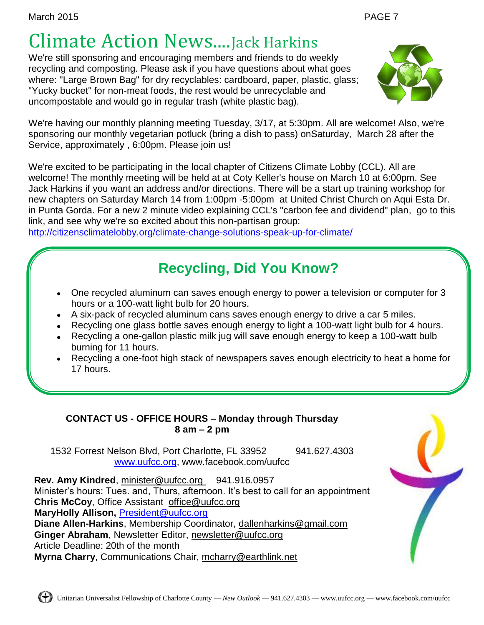### Climate Action News....Jack Harkins

We're still sponsoring and encouraging members and friends to do weekly recycling and composting. Please ask if you have questions about what goes where: "Large Brown Bag" for dry recyclables: cardboard, paper, plastic, glass; "Yucky bucket" for non-meat foods, the rest would be unrecyclable and uncompostable and would go in regular trash (white plastic bag).



We're having our monthly planning meeting Tuesday, 3/17, at 5:30pm. All are welcome! Also, we're sponsoring our monthly vegetarian potluck (bring a dish to pass) onSaturday, March 28 after the Service, approximately , 6:00pm. Please join us!

We're excited to be participating in the local chapter of Citizens Climate Lobby (CCL). All are welcome! The monthly meeting will be held at at Coty Keller's house on March 10 at 6:00pm. See Jack Harkins if you want an address and/or directions. There will be a start up training workshop for new chapters on Saturday March 14 from 1:00pm -5:00pm at United Christ Church on Aqui Esta Dr. in Punta Gorda. For a new 2 minute video explaining CCL's "carbon fee and dividend" plan, go to this link, and see why we're so excited about this non-partisan group:

<http://citizensclimatelobby.org/climate-change-solutions-speak-up-for-climate/>

### **Recycling, Did You Know?**

- One recycled aluminum can saves enough energy to power a television or computer for 3 hours or a 100-watt light bulb for 20 hours.
- A six-pack of recycled aluminum cans saves enough energy to drive a car 5 miles.
- Recycling one glass bottle saves enough energy to light a 100-watt light bulb for 4 hours.
- Recycling a one-gallon plastic milk jug will save enough energy to keep a 100-watt bulb burning for 11 hours.
- Recycling a one-foot high stack of newspapers saves enough electricity to heat a home for 17 hours.

#### **CONTACT US - OFFICE HOURS – Monday through Thursday 8 am – 2 pm**

1532 Forrest Nelson Blvd, Port Charlotte, FL 33952 941.627.4303 [www.uufcc.org,](http://www.uufcc.org/) www.facebook.com/uufcc

**Rev. Amy Kindred, minister@uufcc.org 941.916.0957** Minister's hours: Tues. and, Thurs, afternoon. It's best to call for an appointment **Chris McCoy**, Office Assistant [office@uufcc.org](mailto:office@uufcc.org) **MaryHolly Allison,** [President@uufcc.org](mailto:President@uufcc.org) **Diane Allen-Harkins**, Membership Coordinator, dallenharkins@gmail.com **Ginger Abraham**, Newsletter Editor, newsletter@uufcc.org Article Deadline: 20th of the month **Myrna Charry**, Communications Chair, mcharry@earthlink.net

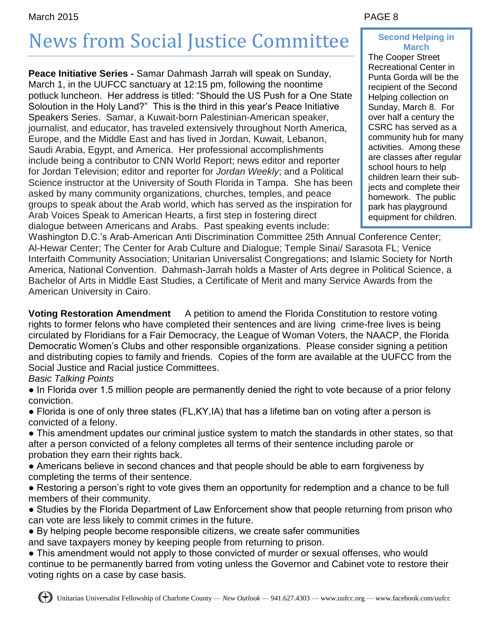#### March 2015 PAGE 8

# News from Social Justice Committee

**Peace Initiative Series -** Samar Dahmash Jarrah will speak on Sunday, March 1, in the UUFCC sanctuary at 12:15 pm, following the noontime potluck luncheon. Her address is titled: "Should the US Push for a One State Soloution in the Holy Land?" This is the third in this year's Peace Initiative Speakers Series. Samar, a Kuwait-born Palestinian-American speaker, journalist, and educator, has traveled extensively throughout North America, Europe, and the Middle East and has lived in Jordan, Kuwait, Lebanon, Saudi Arabia, Egypt, and America. Her professional accomplishments include being a contributor to CNN World Report; news editor and reporter for Jordan Television; editor and reporter for *Jordan Weekly*; and a Political Science instructor at the University of South Florida in Tampa. She has been asked by many community organizations, churches, temples, and peace groups to speak about the Arab world, which has served as the inspiration for Arab Voices Speak to American Hearts, a first step in fostering direct dialogue between Americans and Arabs. Past speaking events include:

#### **Second Helping in March**

The Cooper Street Recreational Center in Punta Gorda will be the recipient of the Second Helping collection on Sunday, March 8. For over half a century the CSRC has served as a community hub for many activities. Among these are classes after regular school hours to help children learn their subjects and complete their homework. The public park has playground equipment for children. i.

Washington D.C.'s Arab-American Anti Discrimination Committee 25th Annual Conference Center; Al-Hewar Center; The Center for Arab Culture and Dialogue; Temple Sinai/ Sarasota FL; Venice Interfaith Community Association; Unitarian Universalist Congregations; and Islamic Society for North America, National Convention. Dahmash-Jarrah holds a Master of Arts degree in Political Science, a Bachelor of Arts in Middle East Studies, a Certificate of Merit and many Service Awards from the American University in Cairo.

**Voting Restoration Amendment** A petition to amend the Florida Constitution to restore voting rights to former felons who have completed their sentences and are living crime-free lives is being circulated by Floridians for a Fair Democracy, the League of Woman Voters, the NAACP, the Florida Democratic Women's Clubs and other responsible organizations. Please consider signing a petition and distributing copies to family and friends. Copies of the form are available at the UUFCC from the Social Justice and Racial justice Committees.

#### *Basic Talking Points*

● In Florida over 1.5 million people are permanently denied the right to vote because of a prior felony conviction.

● Florida is one of only three states (FL,KY,IA) that has a lifetime ban on voting after a person is convicted of a felony.

● This amendment updates our criminal justice system to match the standards in other states, so that after a person convicted of a felony completes all terms of their sentence including parole or probation they earn their rights back.

● Americans believe in second chances and that people should be able to earn forgiveness by completing the terms of their sentence.

● Restoring a person's right to vote gives them an opportunity for redemption and a chance to be full members of their community.

• Studies by the Florida Department of Law Enforcement show that people returning from prison who can vote are less likely to commit crimes in the future.

● By helping people become responsible citizens, we create safer communities

and save taxpayers money by keeping people from returning to prison.

• This amendment would not apply to those convicted of murder or sexual offenses, who would continue to be permanently barred from voting unless the Governor and Cabinet vote to restore their voting rights on a case by case basis.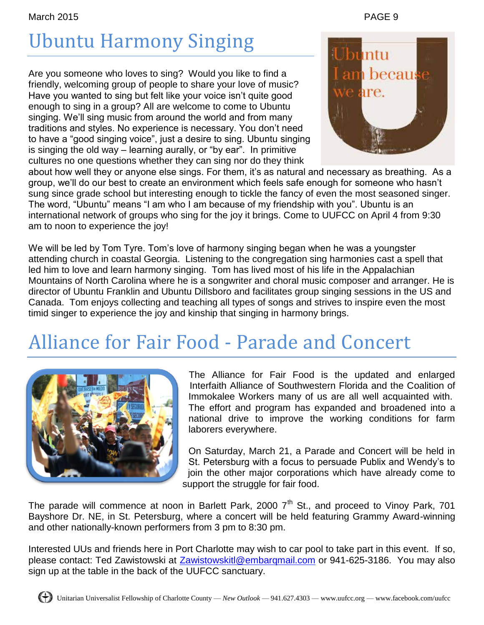March 2015 PAGE 9

# Ubuntu Harmony Singing

Are you someone who loves to sing? Would you like to find a friendly, welcoming group of people to share your love of music? Have you wanted to sing but felt like your voice isn't quite good enough to sing in a group? All are welcome to come to Ubuntu singing. We'll sing music from around the world and from many traditions and styles. No experience is necessary. You don't need to have a "good singing voice", just a desire to sing. Ubuntu singing is singing the old way – learning aurally, or "by ear". In primitive cultures no one questions whether they can sing nor do they think



about how well they or anyone else sings. For them, it's as natural and necessary as breathing. As a group, we'll do our best to create an environment which feels safe enough for someone who hasn't sung since grade school but interesting enough to tickle the fancy of even the most seasoned singer. The word, "Ubuntu" means "I am who I am because of my friendship with you". Ubuntu is an international network of groups who sing for the joy it brings. Come to UUFCC on April 4 from 9:30 am to noon to experience the joy!

We will be led by Tom Tyre. Tom's love of harmony singing began when he was a youngster attending church in coastal Georgia. Listening to the congregation sing harmonies cast a spell that led him to love and learn harmony singing. Tom has lived most of his life in the Appalachian Mountains of North Carolina where he is a songwriter and choral music composer and arranger. He is director of Ubuntu Franklin and Ubuntu Dillsboro and facilitates group singing sessions in the US and Canada. Tom enjoys collecting and teaching all types of songs and strives to inspire even the most timid singer to experience the joy and kinship that singing in harmony brings.

### Alliance for Fair Food - Parade and Concert



The Alliance for Fair Food is the updated and enlarged Interfaith Alliance of Southwestern Florida and the Coalition of Immokalee Workers many of us are all well acquainted with. The effort and program has expanded and broadened into a national drive to improve the working conditions for farm laborers everywhere.

On Saturday, March 21, a Parade and Concert will be held in St. Petersburg with a focus to persuade Publix and Wendy's to join the other major corporations which have already come to support the struggle for fair food.

The parade will commence at noon in Barlett Park, 2000  $7<sup>th</sup>$  St., and proceed to Vinoy Park, 701 Bayshore Dr. NE, in St. Petersburg, where a concert will be held featuring Grammy Award-winning and other nationally-known performers from 3 pm to 8:30 pm.

Interested UUs and friends here in Port Charlotte may wish to car pool to take part in this event. If so, please contact: Ted Zawistowski at [Zawistowskitl@embarqmail.com](mailto:Zawistowskitl@embarqmail.com) or 941-625-3186. You may also sign up at the table in the back of the UUFCC sanctuary.